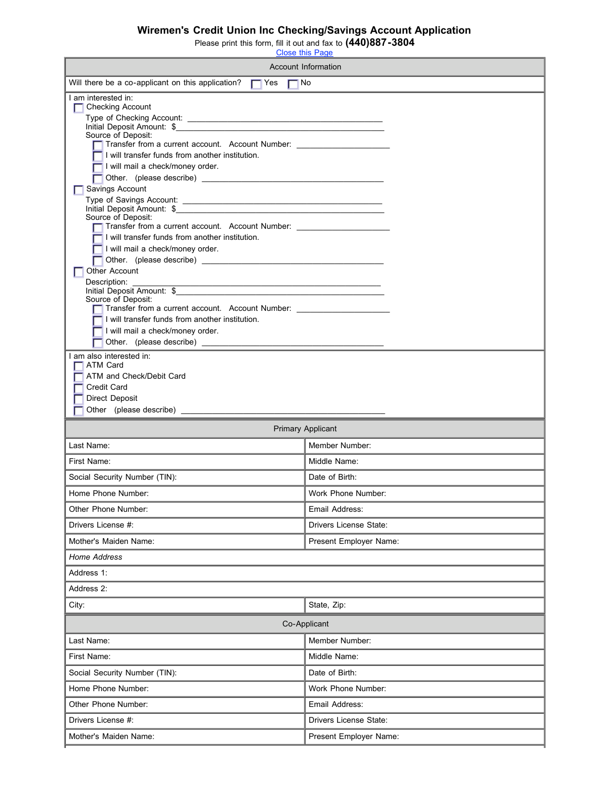## **Wiremen's Credit Union Inc Checking/Savings Account Application**

Please print this form, fill it out and fax to **(440)887-3804**

| <b>Close this Page</b>                                                                   |                          |  |
|------------------------------------------------------------------------------------------|--------------------------|--|
| Account Information                                                                      |                          |  |
| Will there be a co-applicant on this application? $\Box$ Yes $\Box$ No                   |                          |  |
| I am interested in:<br><b>Checking Account</b><br>⊓                                      |                          |  |
| Source of Deposit:                                                                       |                          |  |
| Transfer from a current account. Account Number: _______________________________         |                          |  |
| I will transfer funds from another institution.                                          |                          |  |
| I will mail a check/money order.                                                         |                          |  |
| Savings Account                                                                          |                          |  |
| Initial Deposit Amount: \$<br>Source of Deposit:                                         |                          |  |
| Transfer from a current account. Account Number: _______________________________         |                          |  |
| I will transfer funds from another institution.<br>I will mail a check/money order.      |                          |  |
|                                                                                          |                          |  |
| Other Account<br>Description:                                                            |                          |  |
| Initial Deposit Amount: \$<br>Source of Deposit:                                         |                          |  |
| Transfer from a current account. Account Number:                                         |                          |  |
| I will transfer funds from another institution.<br>I will mail a check/money order.      |                          |  |
| Other. (please describe)                                                                 |                          |  |
| I am also interested in:<br>□ ATM Card<br>ATM and Check/Debit Card<br><b>Credit Card</b> |                          |  |
|                                                                                          |                          |  |
| <b>Direct Deposit</b>                                                                    |                          |  |
|                                                                                          |                          |  |
|                                                                                          | <b>Primary Applicant</b> |  |
| Last Name:                                                                               | Member Number:           |  |
| First Name:                                                                              | Middle Name:             |  |
| Social Security Number (TIN):                                                            | Date of Birth:           |  |
| Home Phone Number:                                                                       | Work Phone Number:       |  |
| Other Phone Number:                                                                      | Email Address:           |  |
| Drivers License #:                                                                       | Drivers License State:   |  |
| Mother's Maiden Name:                                                                    | Present Employer Name:   |  |
| <b>Home Address</b>                                                                      |                          |  |
| Address 1:                                                                               |                          |  |
| Address 2:                                                                               |                          |  |
| City:                                                                                    | State, Zip:              |  |
|                                                                                          | Co-Applicant             |  |
| Last Name:                                                                               | Member Number:           |  |
| First Name:                                                                              | Middle Name:             |  |
| Social Security Number (TIN):                                                            | Date of Birth:           |  |
| Home Phone Number:                                                                       | Work Phone Number:       |  |
| Other Phone Number:                                                                      | Email Address:           |  |
| Drivers License #:                                                                       | Drivers License State:   |  |